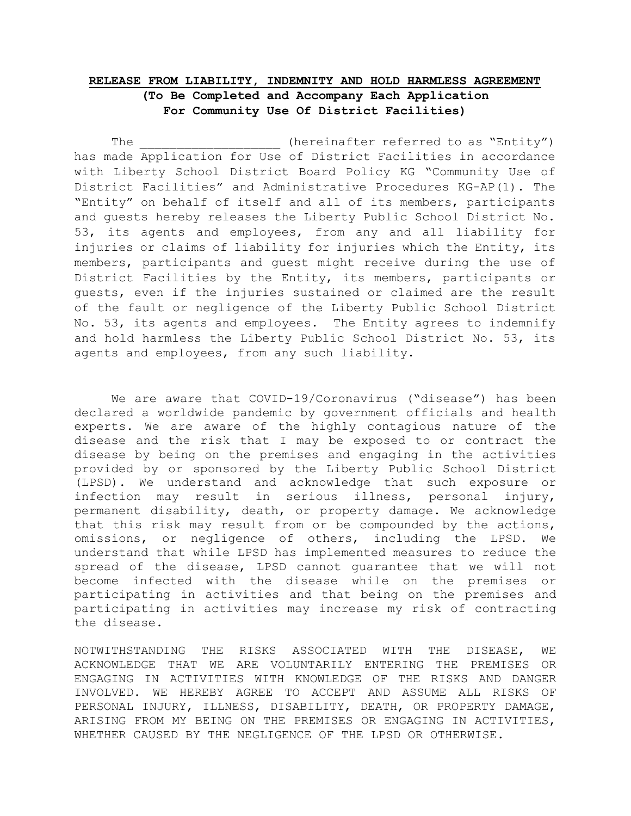## RELEASE FROM LIABILITY, INDEMNITY AND HOLD HARMLESS AGREEMENT (To Be Completed and Accompany Each Application For Community Use Of District Facilities)

The  $(hereinafter referred to as "Entity")$ has made Application for Use of District Facilities in accordance with Liberty School District Board Policy KG "Community Use of District Facilities" and Administrative Procedures KG-AP(1). The "Entity" on behalf of itself and all of its members, participants and guests hereby releases the Liberty Public School District No. 53, its agents and employees, from any and all liability for injuries or claims of liability for injuries which the Entity, its members, participants and guest might receive during the use of District Facilities by the Entity, its members, participants or guests, even if the injuries sustained or claimed are the result of the fault or negligence of the Liberty Public School District No. 53, its agents and employees. The Entity agrees to indemnify and hold harmless the Liberty Public School District No. 53, its agents and employees, from any such liability.

We are aware that COVID-19/Coronavirus ("disease") has been declared a worldwide pandemic by government officials and health experts. We are aware of the highly contagious nature of the disease and the risk that I may be exposed to or contract the disease by being on the premises and engaging in the activities provided by or sponsored by the Liberty Public School District (LPSD). We understand and acknowledge that such exposure or infection may result in serious illness, personal injury, permanent disability, death, or property damage. We acknowledge that this risk may result from or be compounded by the actions, omissions, or negligence of others, including the LPSD. We understand that while LPSD has implemented measures to reduce the spread of the disease, LPSD cannot guarantee that we will not become infected with the disease while on the premises or participating in activities and that being on the premises and participating in activities may increase my risk of contracting the disease.

NOTWITHSTANDING THE RISKS ASSOCIATED WITH THE DISEASE, WE ACKNOWLEDGE THAT WE ARE VOLUNTARILY ENTERING THE PREMISES OR ENGAGING IN ACTIVITIES WITH KNOWLEDGE OF THE RISKS AND DANGER INVOLVED. WE HEREBY AGREE TO ACCEPT AND ASSUME ALL RISKS OF PERSONAL INJURY, ILLNESS, DISABILITY, DEATH, OR PROPERTY DAMAGE, ARISING FROM MY BEING ON THE PREMISES OR ENGAGING IN ACTIVITIES, WHETHER CAUSED BY THE NEGLIGENCE OF THE LPSD OR OTHERWISE.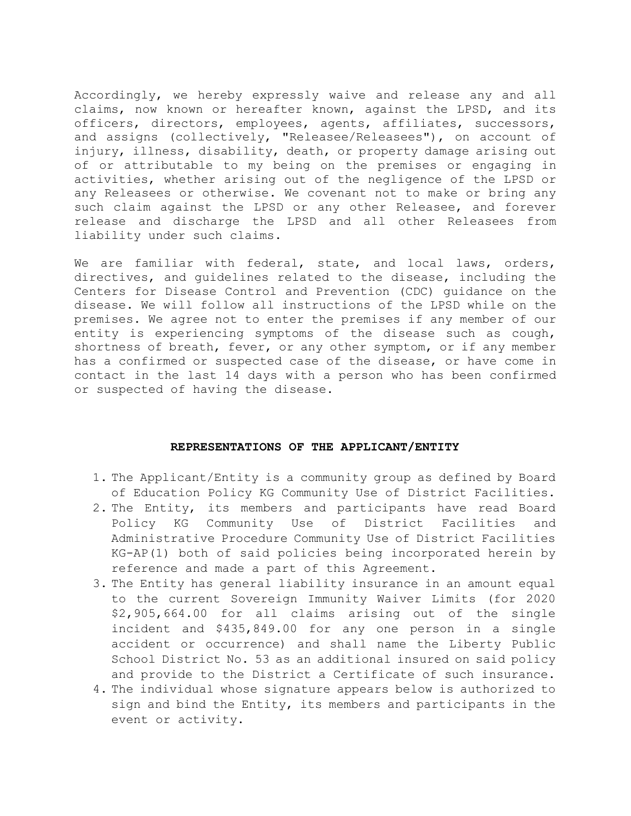Accordingly, we hereby expressly waive and release any and all claims, now known or hereafter known, against the LPSD, and its officers, directors, employees, agents, affiliates, successors, and assigns (collectively, "Releasee/Releasees"), on account of injury, illness, disability, death, or property damage arising out of or attributable to my being on the premises or engaging in activities, whether arising out of the negligence of the LPSD or any Releasees or otherwise. We covenant not to make or bring any such claim against the LPSD or any other Releasee, and forever release and discharge the LPSD and all other Releasees from liability under such claims.

We are familiar with federal, state, and local laws, orders, directives, and guidelines related to the disease, including the Centers for Disease Control and Prevention (CDC) guidance on the disease. We will follow all instructions of the LPSD while on the premises. We agree not to enter the premises if any member of our entity is experiencing symptoms of the disease such as cough, shortness of breath, fever, or any other symptom, or if any member has a confirmed or suspected case of the disease, or have come in contact in the last 14 days with a person who has been confirmed or suspected of having the disease.

## REPRESENTATIONS OF THE APPLICANT/ENTITY

- 1. The Applicant/Entity is a community group as defined by Board of Education Policy KG Community Use of District Facilities.
- 2. The Entity, its members and participants have read Board Policy KG Community Use of District Facilities and Administrative Procedure Community Use of District Facilities KG-AP(1) both of said policies being incorporated herein by reference and made a part of this Agreement.
- 3. The Entity has general liability insurance in an amount equal to the current Sovereign Immunity Waiver Limits (for 2020 \$2,905,664.00 for all claims arising out of the single incident and \$435,849.00 for any one person in a single accident or occurrence) and shall name the Liberty Public School District No. 53 as an additional insured on said policy and provide to the District a Certificate of such insurance.
- 4. The individual whose signature appears below is authorized to sign and bind the Entity, its members and participants in the event or activity.